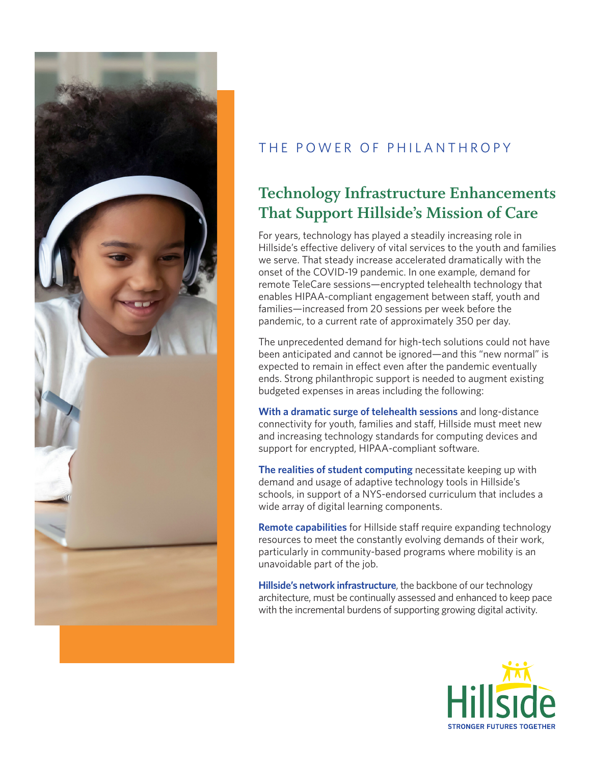

## THE POWER OF PHILANTHROPY

## **Technology Infrastructure Enhancements That Support Hillside's Mission of Care**

For years, technology has played a steadily increasing role in Hillside's effective delivery of vital services to the youth and families we serve. That steady increase accelerated dramatically with the onset of the COVID-19 pandemic. In one example, demand for remote TeleCare sessions—encrypted telehealth technology that enables HIPAA-compliant engagement between staff, youth and families—increased from 20 sessions per week before the pandemic, to a current rate of approximately 350 per day.

The unprecedented demand for high-tech solutions could not have been anticipated and cannot be ignored—and this "new normal" is expected to remain in effect even after the pandemic eventually ends. Strong philanthropic support is needed to augment existing budgeted expenses in areas including the following:

**With a dramatic surge of telehealth sessions** and long-distance connectivity for youth, families and staff, Hillside must meet new and increasing technology standards for computing devices and support for encrypted, HIPAA-compliant software.

**The realities of student computing** necessitate keeping up with demand and usage of adaptive technology tools in Hillside's schools, in support of a NYS-endorsed curriculum that includes a wide array of digital learning components.

**Remote capabilities** for Hillside staff require expanding technology resources to meet the constantly evolving demands of their work, particularly in community-based programs where mobility is an unavoidable part of the job.

**Hillside's network infrastructure**, the backbone of our technology architecture, must be continually assessed and enhanced to keep pace with the incremental burdens of supporting growing digital activity.